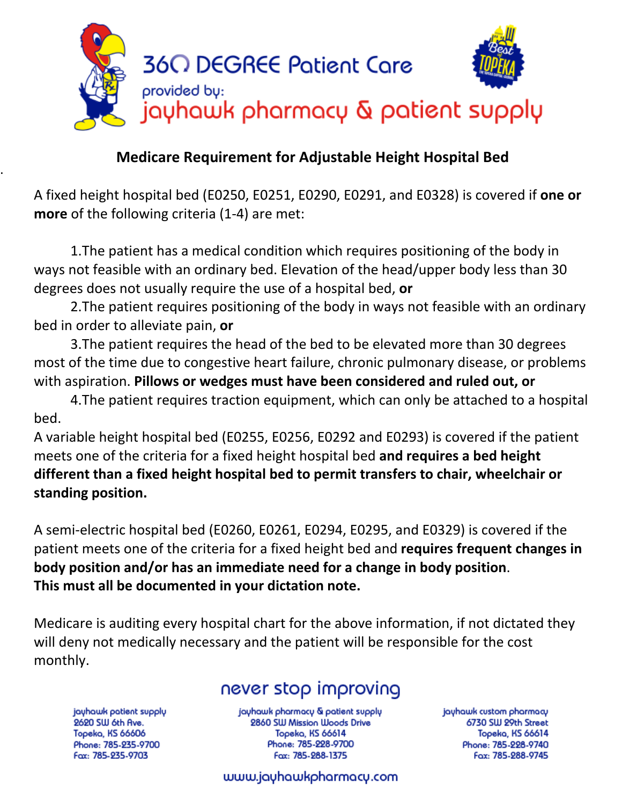

### . **Medicare Requirement for Adjustable Height Hospital Bed**

A fixed height hospital bed (E0250, E0251, E0290, E0291, and E0328) is covered if **one or more** of the following criteria (1-4) are met:

1.The patient has a medical condition which requires positioning of the body in ways not feasible with an ordinary bed. Elevation of the head/upper body less than 30 degrees does not usually require the use of a hospital bed, **or** 

2.The patient requires positioning of the body in ways not feasible with an ordinary bed in order to alleviate pain, **or** 

3.The patient requires the head of the bed to be elevated more than 30 degrees most of the time due to congestive heart failure, chronic pulmonary disease, or problems with aspiration. **Pillows or wedges must have been considered and ruled out, or** 

4.The patient requires traction equipment, which can only be attached to a hospital bed.

A variable height hospital bed (E0255, E0256, E0292 and E0293) is covered if the patient meets one of the criteria for a fixed height hospital bed **and requires a bed height different than a fixed height hospital bed to permit transfers to chair, wheelchair or standing position.**

A semi-electric hospital bed (E0260, E0261, E0294, E0295, and E0329) is covered if the patient meets one of the criteria for a fixed height bed and **requires frequent changes in body position and/or has an immediate need for a change in body position**. **This must all be documented in your dictation note.** 

Medicare is auditing every hospital chart for the above information, if not dictated they will deny not medically necessary and the patient will be responsible for the cost monthly.

# never stop improving

jayhawk patient supply 2620 SW 6th Ave. Topeka, KS 66606 Phone: 785-235-9700 Fax: 785-235-9703

jayhawk pharmacy & patient supply 2860 SW Mission Woods Drive Topeka, KS 66614 Phone: 785-228-9700 Fax: 785-288-1375

jayhawk custom pharmacy 6730 SW 29th Street Topeka, KS 66614 Phone: 785-228-9740 Fax: 785-288-9745

#### www.jayhawkpharmacy.com